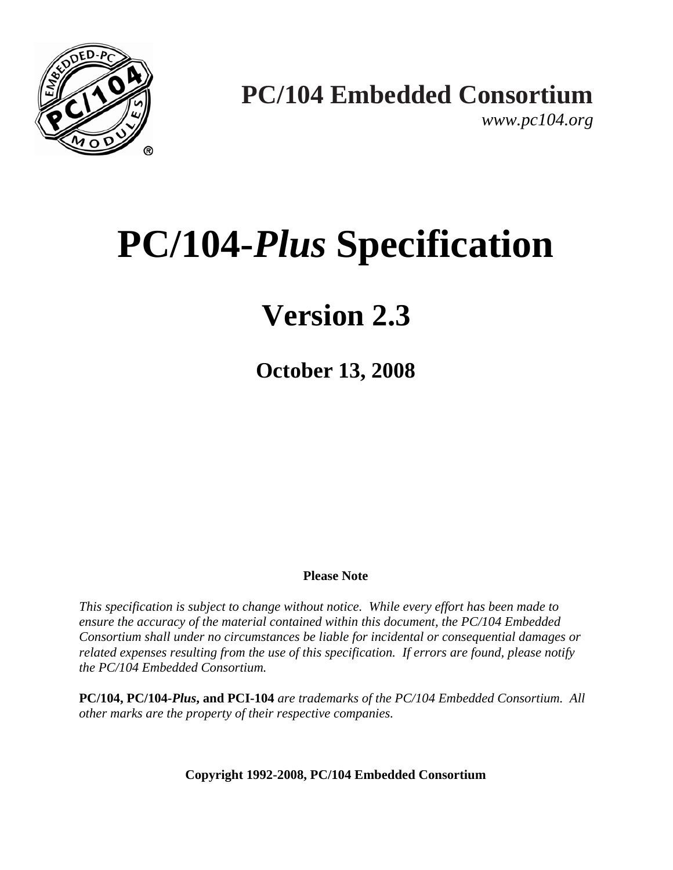

*www.pc104.org* 

# **PC/104-***Plus* **Specification**

## **Version 2.3**

**October 13, 2008**

#### **Please Note**

*This specification is subject to change without notice. While every effort has been made to ensure the accuracy of the material contained within this document, the PC/104 Embedded Consortium shall under no circumstances be liable for incidental or consequential damages or related expenses resulting from the use of this specification. If errors are found, please notify the PC/104 Embedded Consortium.*

**PC/104, PC/104***-Plus***, and PCI-104** *are trademarks of the PC/104 Embedded Consortium. All other marks are the property of their respective companies.*

**Copyright 1992-2008, PC/104 Embedded Consortium**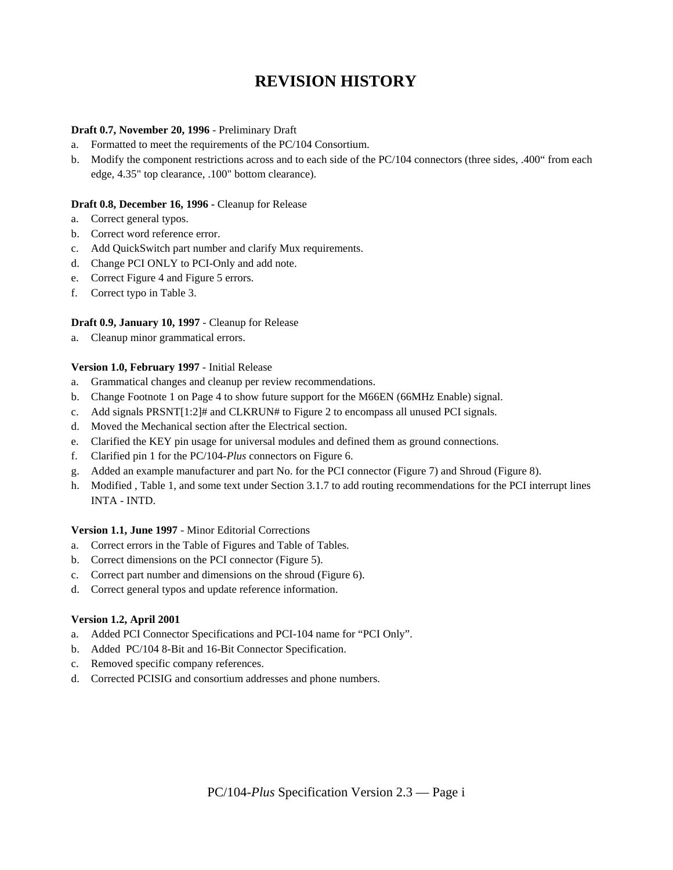## **REVISION HISTORY**

#### **Draft 0.7, November 20, 1996** - Preliminary Draft

- a. Formatted to meet the requirements of the PC/104 Consortium.
- b. Modify the component restrictions across and to each side of the PC/104 connectors (three sides, .400" from each edge, 4.35" top clearance, .100" bottom clearance).

#### **Draft 0.8, December 16, 1996 -** Cleanup for Release

- a. Correct general typos.
- b. Correct word reference error.
- c. Add QuickSwitch part number and clarify Mux requirements.
- d. Change PCI ONLY to PCI-Only and add note.
- e. Correct Figure 4 and Figure 5 errors.
- f. Correct typo in Table 3.

#### **Draft 0.9, January 10, 1997** - Cleanup for Release

a. Cleanup minor grammatical errors.

#### **Version 1.0, February 1997** - Initial Release

- a. Grammatical changes and cleanup per review recommendations.
- b. Change Footnote 1 on Page 4 to show future support for the M66EN (66MHz Enable) signal.
- c. Add signals PRSNT[1:2]# and CLKRUN# to Figure 2 to encompass all unused PCI signals.
- d. Moved the Mechanical section after the Electrical section.
- e. Clarified the KEY pin usage for universal modules and defined them as ground connections.
- f. Clarified pin 1 for the PC/104-*Plus* connectors on Figure 6.
- g. Added an example manufacturer and part No. for the PCI connector (Figure 7) and Shroud (Figure 8).
- h. Modified , Table 1, and some text under Section 3.1.7 to add routing recommendations for the PCI interrupt lines INTA - INTD.

#### **Version 1.1, June 1997** - Minor Editorial Corrections

- a. Correct errors in the Table of Figures and Table of Tables.
- b. Correct dimensions on the PCI connector (Figure 5).
- c. Correct part number and dimensions on the shroud (Figure 6).
- d. Correct general typos and update reference information.

#### **Version 1.2, April 2001**

- a. Added PCI Connector Specifications and PCI-104 name for "PCI Only".
- b. Added PC/104 8-Bit and 16-Bit Connector Specification.
- c. Removed specific company references.
- d. Corrected PCISIG and consortium addresses and phone numbers.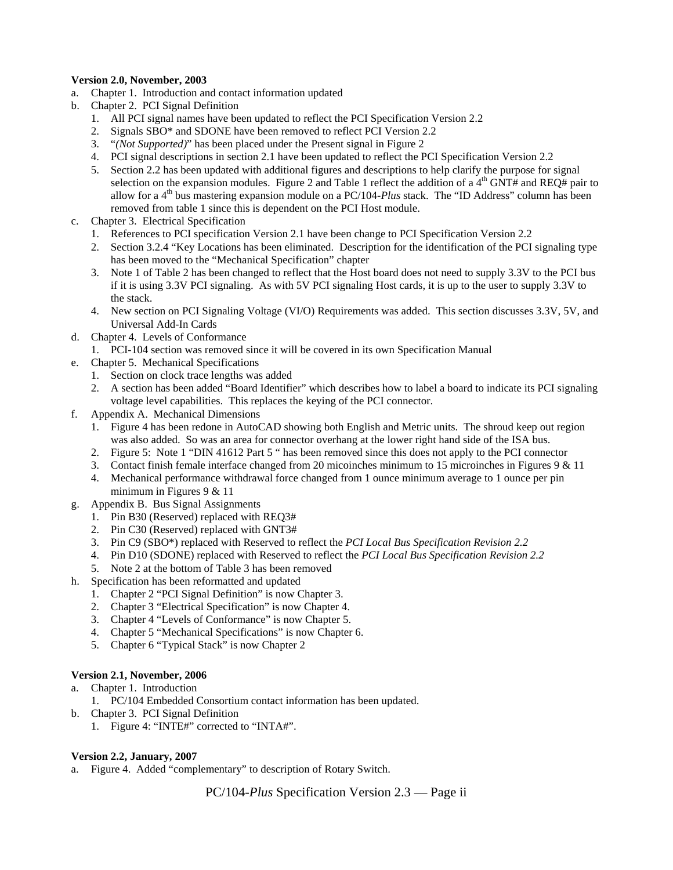#### **Version 2.0, November, 2003**

- a. Chapter 1. Introduction and contact information updated
- b. Chapter 2. PCI Signal Definition
	- 1. All PCI signal names have been updated to reflect the PCI Specification Version 2.2
	- 2. Signals SBO\* and SDONE have been removed to reflect PCI Version 2.2
	- 3. "*(Not Supported)*" has been placed under the Present signal in Figure 2
	- 4. PCI signal descriptions in section 2.1 have been updated to reflect the PCI Specification Version 2.2
	- 5. Section 2.2 has been updated with additional figures and descriptions to help clarify the purpose for signal selection on the expansion modules. Figure 2 and Table 1 reflect the addition of a  $4<sup>th</sup>$  GNT# and REQ# pair to allow for a 4th bus mastering expansion module on a PC/104-*Plus* stack. The "ID Address" column has been removed from table 1 since this is dependent on the PCI Host module.
- c. Chapter 3. Electrical Specification
	- 1. References to PCI specification Version 2.1 have been change to PCI Specification Version 2.2
	- 2. Section 3.2.4 "Key Locations has been eliminated. Description for the identification of the PCI signaling type has been moved to the "Mechanical Specification" chapter
	- 3. Note 1 of Table 2 has been changed to reflect that the Host board does not need to supply 3.3V to the PCI bus if it is using 3.3V PCI signaling. As with 5V PCI signaling Host cards, it is up to the user to supply 3.3V to the stack.
	- 4. New section on PCI Signaling Voltage (VI/O) Requirements was added. This section discusses 3.3V, 5V, and Universal Add-In Cards
- d. Chapter 4. Levels of Conformance
	- 1. PCI-104 section was removed since it will be covered in its own Specification Manual
- e. Chapter 5. Mechanical Specifications
	- 1. Section on clock trace lengths was added
	- 2. A section has been added "Board Identifier" which describes how to label a board to indicate its PCI signaling voltage level capabilities. This replaces the keying of the PCI connector.
- f. Appendix A. Mechanical Dimensions
	- 1. Figure 4 has been redone in AutoCAD showing both English and Metric units. The shroud keep out region was also added. So was an area for connector overhang at the lower right hand side of the ISA bus.
	- 2. Figure 5: Note 1 "DIN 41612 Part 5 " has been removed since this does not apply to the PCI connector
	- 3. Contact finish female interface changed from 20 micoinches minimum to 15 microinches in Figures 9 & 11
	- 4. Mechanical performance withdrawal force changed from 1 ounce minimum average to 1 ounce per pin minimum in Figures 9 & 11
- g. Appendix B. Bus Signal Assignments
	- 1. Pin B30 (Reserved) replaced with REQ3#
	- 2. Pin C30 (Reserved) replaced with GNT3#
	- 3. Pin C9 (SBO\*) replaced with Reserved to reflect the *PCI Local Bus Specification Revision 2.2*
	- 4. Pin D10 (SDONE) replaced with Reserved to reflect the *PCI Local Bus Specification Revision 2.2*
	- 5. Note 2 at the bottom of Table 3 has been removed
- h. Specification has been reformatted and updated
	- 1. Chapter 2 "PCI Signal Definition" is now Chapter 3.
	- 2. Chapter 3 "Electrical Specification" is now Chapter 4.
	- 3. Chapter 4 "Levels of Conformance" is now Chapter 5.
	- 4. Chapter 5 "Mechanical Specifications" is now Chapter 6.
	- 5. Chapter 6 "Typical Stack" is now Chapter 2

#### **Version 2.1, November, 2006**

- a. Chapter 1. Introduction
	- 1. PC/104 Embedded Consortium contact information has been updated.
- b. Chapter 3. PCI Signal Definition
	- 1. Figure 4: "INTE#" corrected to "INTA#".

#### **Version 2.2, January, 2007**

a. Figure 4. Added "complementary" to description of Rotary Switch.

PC/104-*Plus* Specification Version 2.3 — Page ii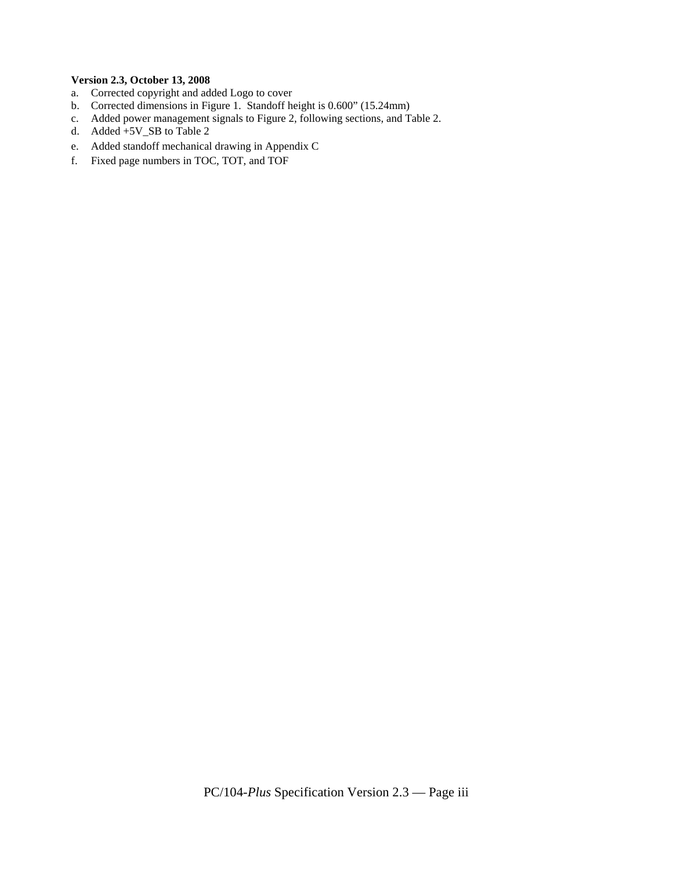#### **Version 2.3, October 13, 2008**

- a. Corrected copyright and added Logo to cover
- b. Corrected dimensions in Figure 1. Standoff height is 0.600" (15.24mm)
- c. Added power management signals to Figure 2, following sections, and Table 2.
- d. Added +5V\_SB to Table 2
- e. Added standoff mechanical drawing in Appendix C
- f. Fixed page numbers in TOC, TOT, and TOF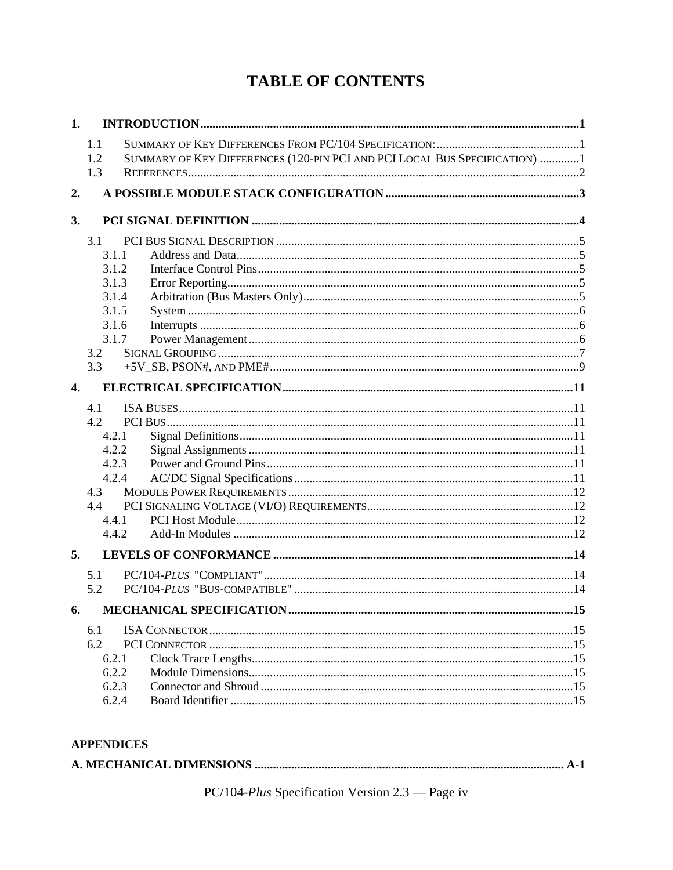## **TABLE OF CONTENTS**

| 1.               |            |                                                                            |     |
|------------------|------------|----------------------------------------------------------------------------|-----|
|                  | 1.1        |                                                                            |     |
|                  | 1.2        | SUMMARY OF KEY DIFFERENCES (120-PIN PCI AND PCI LOCAL BUS SPECIFICATION) 1 |     |
|                  | 1.3        |                                                                            |     |
| 2.               |            |                                                                            |     |
|                  |            |                                                                            |     |
| 3.               |            |                                                                            |     |
|                  | 3.1        |                                                                            |     |
|                  | 3.1.1      |                                                                            |     |
|                  | 3.1.2      |                                                                            |     |
|                  | 3.1.3      |                                                                            |     |
|                  | 3.1.4      |                                                                            |     |
|                  | 3.1.5      |                                                                            |     |
|                  | 3.1.6      |                                                                            |     |
|                  | 3.1.7      |                                                                            |     |
|                  | 3.2        |                                                                            |     |
|                  | 3.3        |                                                                            |     |
| $\overline{4}$ . |            |                                                                            |     |
|                  |            |                                                                            |     |
|                  | 4.1<br>4.2 |                                                                            |     |
|                  | 4.2.1      |                                                                            |     |
|                  | 4.2.2      |                                                                            |     |
|                  | 4.2.3      |                                                                            |     |
|                  | 4.2.4      |                                                                            |     |
|                  | 4.3        |                                                                            |     |
|                  | 4.4        |                                                                            |     |
|                  | 4.4.1      |                                                                            |     |
|                  | 4.4.2      |                                                                            |     |
| 5.               |            |                                                                            |     |
|                  |            |                                                                            |     |
|                  | 5.1        |                                                                            |     |
|                  | 5.2        |                                                                            |     |
|                  |            |                                                                            | .15 |
|                  | 6.1        |                                                                            |     |
|                  | 6.2        |                                                                            |     |
|                  | 6.2.1      |                                                                            |     |
|                  | 6.2.2      |                                                                            |     |
|                  | 6.2.3      |                                                                            |     |
|                  | 6.2.4      |                                                                            |     |
|                  |            |                                                                            |     |

#### **APPENDICES**

|--|--|--|

PC/104-Plus Specification Version 2.3 — Page iv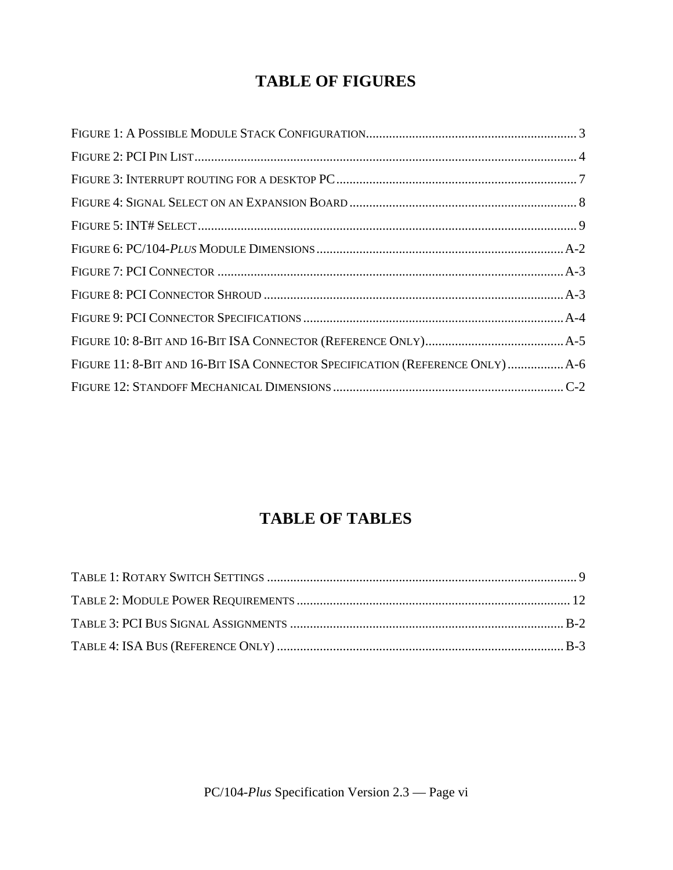## **TABLE OF FIGURES**

| FIGURE 11: 8-BIT AND 16-BIT ISA CONNECTOR SPECIFICATION (REFERENCE ONLY)  A-6 |  |
|-------------------------------------------------------------------------------|--|
|                                                                               |  |

## **TABLE OF TABLES**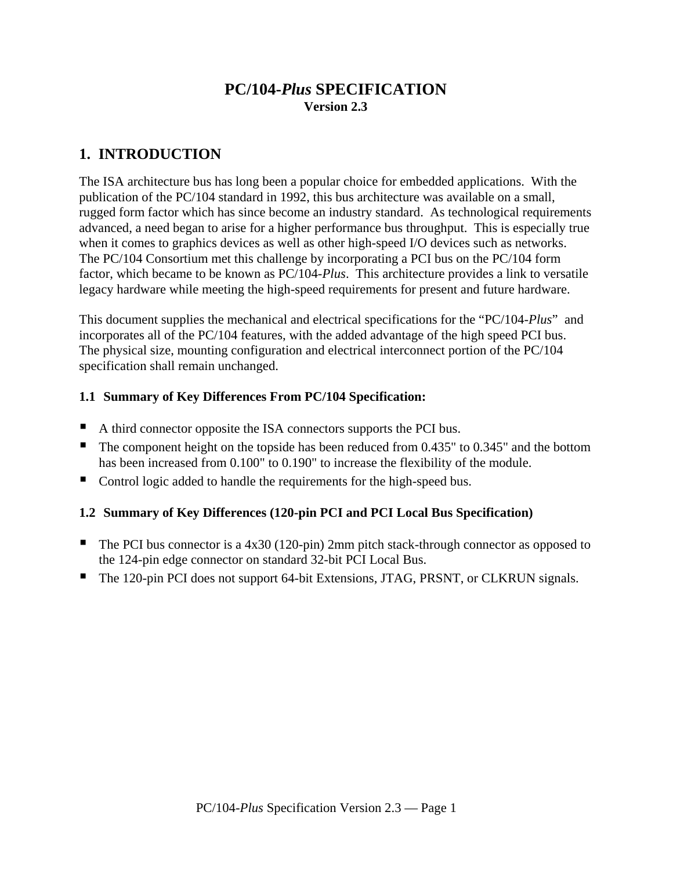### **PC/104-***Plus* **SPECIFICATION Version 2.3**

## **1. INTRODUCTION**

The ISA architecture bus has long been a popular choice for embedded applications. With the publication of the PC/104 standard in 1992, this bus architecture was available on a small, rugged form factor which has since become an industry standard. As technological requirements advanced, a need began to arise for a higher performance bus throughput. This is especially true when it comes to graphics devices as well as other high-speed I/O devices such as networks. The PC/104 Consortium met this challenge by incorporating a PCI bus on the PC/104 form factor, which became to be known as PC/104-*Plus*. This architecture provides a link to versatile legacy hardware while meeting the high-speed requirements for present and future hardware.

This document supplies the mechanical and electrical specifications for the "PC/104-*Plus*" and incorporates all of the PC/104 features, with the added advantage of the high speed PCI bus. The physical size, mounting configuration and electrical interconnect portion of the PC/104 specification shall remain unchanged.

#### **1.1 Summary of Key Differences From PC/104 Specification:**

- A third connector opposite the ISA connectors supports the PCI bus.
- The component height on the topside has been reduced from 0.435" to 0.345" and the bottom has been increased from 0.100" to 0.190" to increase the flexibility of the module.
- Control logic added to handle the requirements for the high-speed bus.

#### **1.2 Summary of Key Differences (120-pin PCI and PCI Local Bus Specification)**

- The PCI bus connector is a  $4x30(120-\pi)$  2mm pitch stack-through connector as opposed to the 124-pin edge connector on standard 32-bit PCI Local Bus.
- The 120-pin PCI does not support 64-bit Extensions, JTAG, PRSNT, or CLKRUN signals.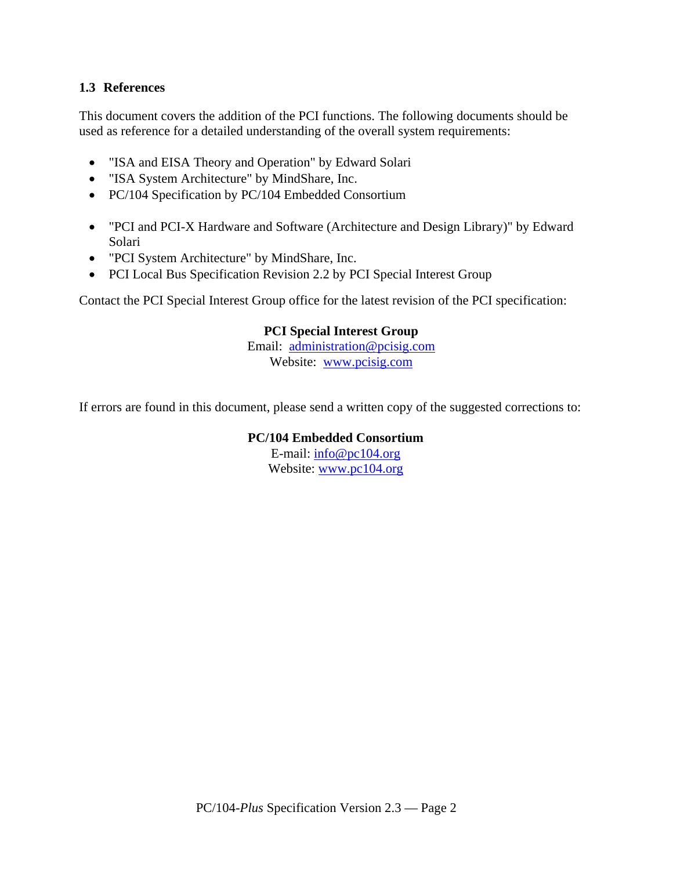#### **1.3 References**

This document covers the addition of the PCI functions. The following documents should be used as reference for a detailed understanding of the overall system requirements:

- "ISA and EISA Theory and Operation" by Edward Solari
- "ISA System Architecture" by MindShare, Inc.
- PC/104 Specification by PC/104 Embedded Consortium
- "PCI and PCI-X Hardware and Software (Architecture and Design Library)" by Edward Solari
- "PCI System Architecture" by MindShare, Inc.
- PCI Local Bus Specification Revision 2.2 by PCI Special Interest Group

Contact the PCI Special Interest Group office for the latest revision of the PCI specification:

#### **PCI Special Interest Group**

Email: administration@pcisig.com Website: www.pcisig.com

If errors are found in this document, please send a written copy of the suggested corrections to:

#### **PC/104 Embedded Consortium**

E-mail: info@pc104.org Website: www.pc104.org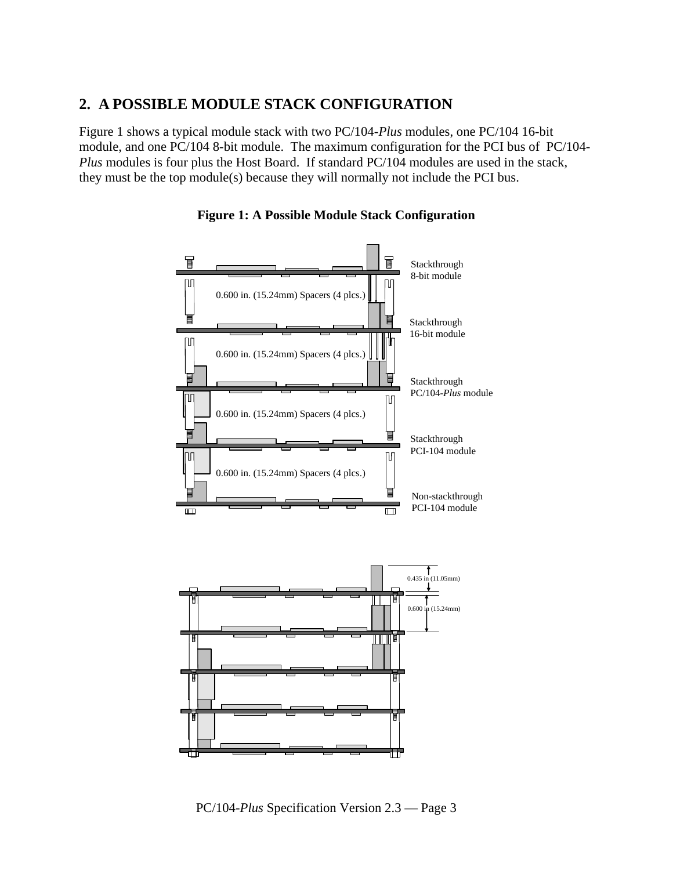#### **2. A POSSIBLE MODULE STACK CONFIGURATION**

Figure 1 shows a typical module stack with two PC/104-*Plus* modules, one PC/104 16-bit module, and one PC/104 8-bit module. The maximum configuration for the PCI bus of PC/104- *Plus* modules is four plus the Host Board. If standard PC/104 modules are used in the stack, they must be the top module(s) because they will normally not include the PCI bus.



**Figure 1: A Possible Module Stack Configuration**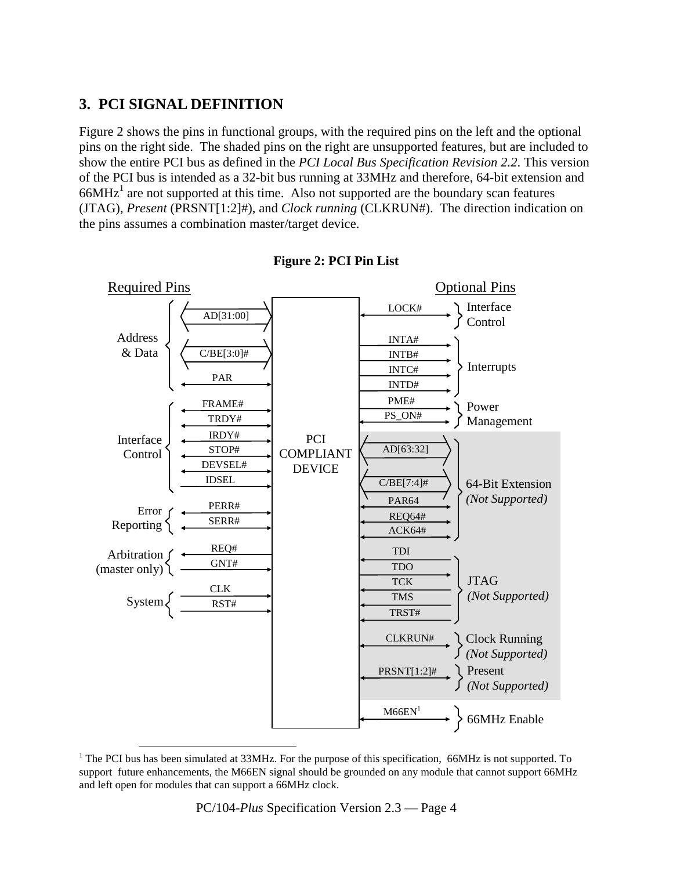## **3. PCI SIGNAL DEFINITION**

Figure 2 shows the pins in functional groups, with the required pins on the left and the optional pins on the right side. The shaded pins on the right are unsupported features, but are included to show the entire PCI bus as defined in the *PCI Local Bus Specification Revision 2.2*. This version of the PCI bus is intended as a 32-bit bus running at 33MHz and therefore, 64-bit extension and  $66MHz<sup>1</sup>$  are not supported at this time. Also not supported are the boundary scan features (JTAG), *Present* (PRSNT[1:2]#), and *Clock running* (CLKRUN#). The direction indication on the pins assumes a combination master/target device.



**Figure 2: PCI Pin List** 

<sup>&</sup>lt;sup>1</sup> The PCI bus has been simulated at 33MHz. For the purpose of this specification, 66MHz is not supported. To support future enhancements, the M66EN signal should be grounded on any module that cannot support 66MHz and left open for modules that can support a 66MHz clock.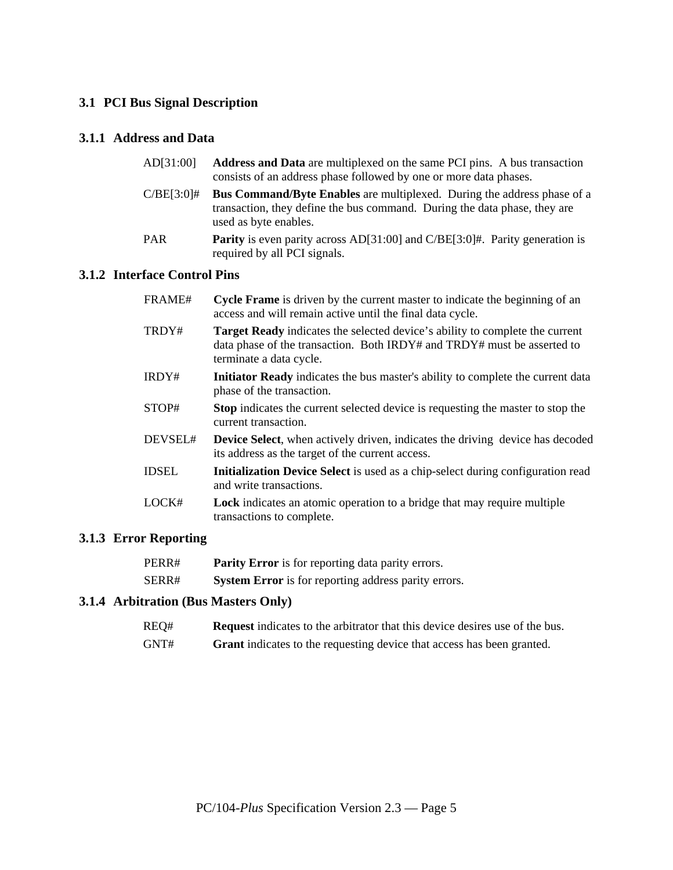#### **3.1 PCI Bus Signal Description**

#### **3.1.1 Address and Data**

| AD[31:00] | <b>Address and Data</b> are multiplexed on the same PCI pins. A bus transaction |
|-----------|---------------------------------------------------------------------------------|
|           | consists of an address phase followed by one or more data phases.               |

- C/BE[3:0]# **Bus Command/Byte Enables** are multiplexed. During the address phase of a transaction, they define the bus command. During the data phase, they are used as byte enables.
- PAR **Parity** is even parity across AD[31:00] and C/BE[3:0]#. Parity generation is required by all PCI signals.

#### **3.1.2 Interface Control Pins**

| FRAME#       | <b>Cycle Frame</b> is driven by the current master to indicate the beginning of an<br>access and will remain active until the final data cycle.                                           |
|--------------|-------------------------------------------------------------------------------------------------------------------------------------------------------------------------------------------|
| TRDY#        | <b>Target Ready</b> indicates the selected device's ability to complete the current<br>data phase of the transaction. Both IRDY# and TRDY# must be asserted to<br>terminate a data cycle. |
| IRDY#        | Initiator Ready indicates the bus master's ability to complete the current data<br>phase of the transaction.                                                                              |
| STOP#        | <b>Stop</b> indicates the current selected device is requesting the master to stop the<br>current transaction.                                                                            |
| DEVSEL#      | <b>Device Select</b> , when actively driven, indicates the driving device has decoded<br>its address as the target of the current access.                                                 |
| <b>IDSEL</b> | <b>Initialization Device Select</b> is used as a chip-select during configuration read<br>and write transactions.                                                                         |
| LOCK#        | <b>Lock</b> indicates an atomic operation to a bridge that may require multiple                                                                                                           |

#### **3.1.3 Error Reporting**

| PERR# | <b>Parity Error</b> is for reporting data parity errors.    |
|-------|-------------------------------------------------------------|
| SERR# | <b>System Error</b> is for reporting address parity errors. |

transactions to complete.

#### **3.1.4 Arbitration (Bus Masters Only)**

| REQ#<br><b>Request</b> indicates to the arbitrator that this device desires use of the bus. |  |
|---------------------------------------------------------------------------------------------|--|
|---------------------------------------------------------------------------------------------|--|

GNT# **Grant** indicates to the requesting device that access has been granted.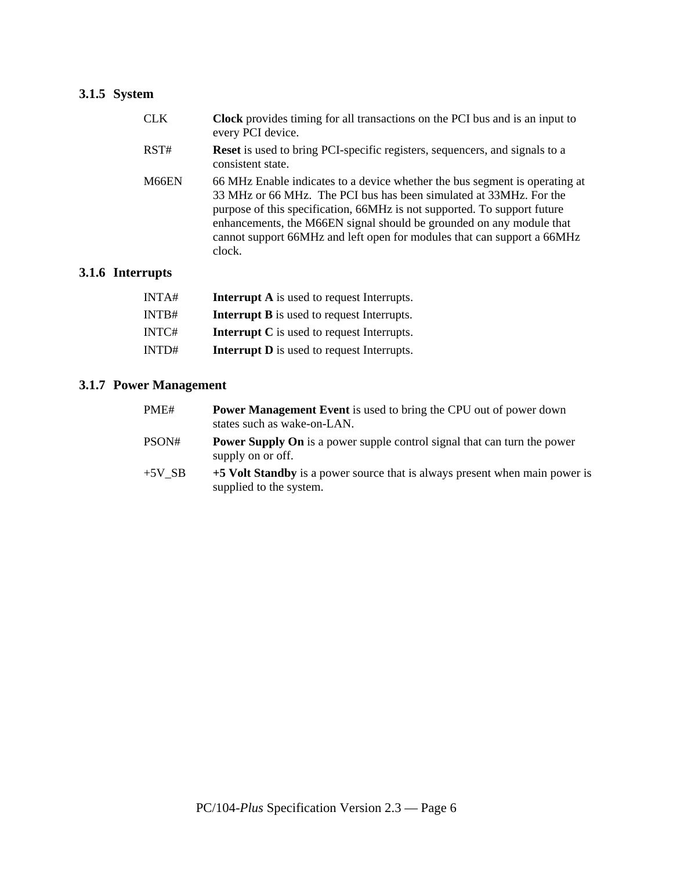## **3.1.5 System**

| <b>CLK</b> | <b>Clock</b> provides timing for all transactions on the PCI bus and is an input to<br>every PCI device.                                                                                                                                                                                                                                                                                    |
|------------|---------------------------------------------------------------------------------------------------------------------------------------------------------------------------------------------------------------------------------------------------------------------------------------------------------------------------------------------------------------------------------------------|
| RST#       | <b>Reset</b> is used to bring PCI-specific registers, sequencers, and signals to a<br>consistent state.                                                                                                                                                                                                                                                                                     |
| M66EN      | 66 MHz Enable indicates to a device whether the bus segment is operating at<br>33 MHz or 66 MHz. The PCI bus has been simulated at 33 MHz. For the<br>purpose of this specification, 66MHz is not supported. To support future<br>enhancements, the M66EN signal should be grounded on any module that<br>cannot support 66MHz and left open for modules that can support a 66MHz<br>clock. |

#### **3.1.6 Interrupts**

| INTA# | <b>Interrupt A</b> is used to request Interrupts. |
|-------|---------------------------------------------------|
| INTB# | <b>Interrupt B</b> is used to request Interrupts. |
| INTC# | <b>Interrupt C</b> is used to request Interrupts. |
| INTD# | <b>Interrupt D</b> is used to request Interrupts. |

#### **3.1.7 Power Management**

| PME#     | <b>Power Management Event</b> is used to bring the CPU out of power down<br>states such as wake-on-LAN. |
|----------|---------------------------------------------------------------------------------------------------------|
| PSON#    | <b>Power Supply On</b> is a power supple control signal that can turn the power<br>supply on or off.    |
| $+5V$ SB | +5 Volt Standby is a power source that is always present when main power is<br>supplied to the system.  |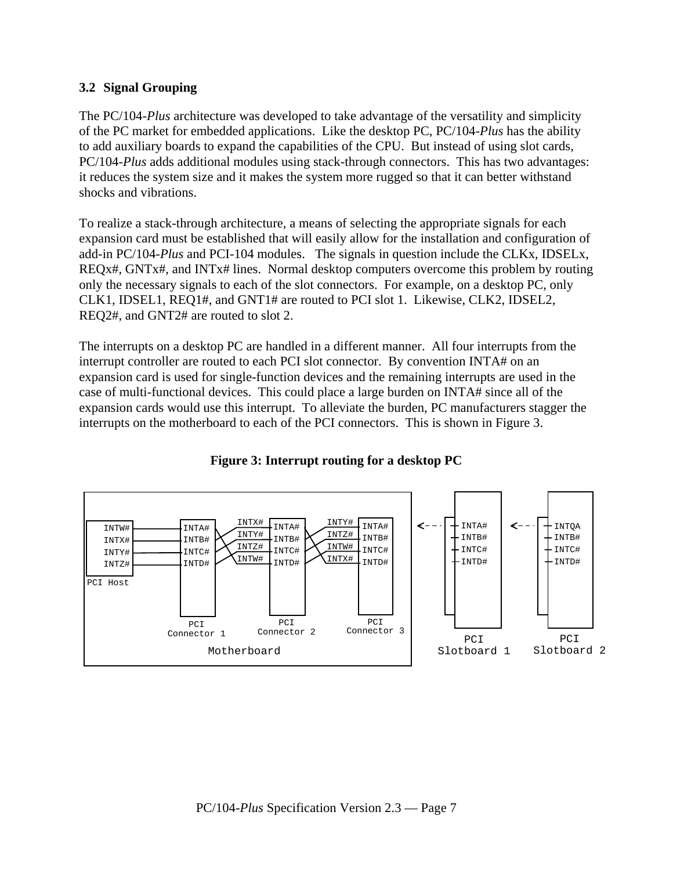#### **3.2 Signal Grouping**

The PC/104-*Plus* architecture was developed to take advantage of the versatility and simplicity of the PC market for embedded applications. Like the desktop PC, PC/104-*Plus* has the ability to add auxiliary boards to expand the capabilities of the CPU. But instead of using slot cards, PC/104-*Plus* adds additional modules using stack-through connectors. This has two advantages: it reduces the system size and it makes the system more rugged so that it can better withstand shocks and vibrations.

To realize a stack-through architecture, a means of selecting the appropriate signals for each expansion card must be established that will easily allow for the installation and configuration of add-in PC/104-*Plus* and PCI-104 modules. The signals in question include the CLKx, IDSELx, REQx#, GNTx#, and INTx# lines. Normal desktop computers overcome this problem by routing only the necessary signals to each of the slot connectors. For example, on a desktop PC, only CLK1, IDSEL1, REQ1#, and GNT1# are routed to PCI slot 1. Likewise, CLK2, IDSEL2, REQ2#, and GNT2# are routed to slot 2.

The interrupts on a desktop PC are handled in a different manner. All four interrupts from the interrupt controller are routed to each PCI slot connector. By convention INTA# on an expansion card is used for single-function devices and the remaining interrupts are used in the case of multi-functional devices. This could place a large burden on INTA# since all of the expansion cards would use this interrupt. To alleviate the burden, PC manufacturers stagger the interrupts on the motherboard to each of the PCI connectors. This is shown in Figure 3.



#### **Figure 3: Interrupt routing for a desktop PC**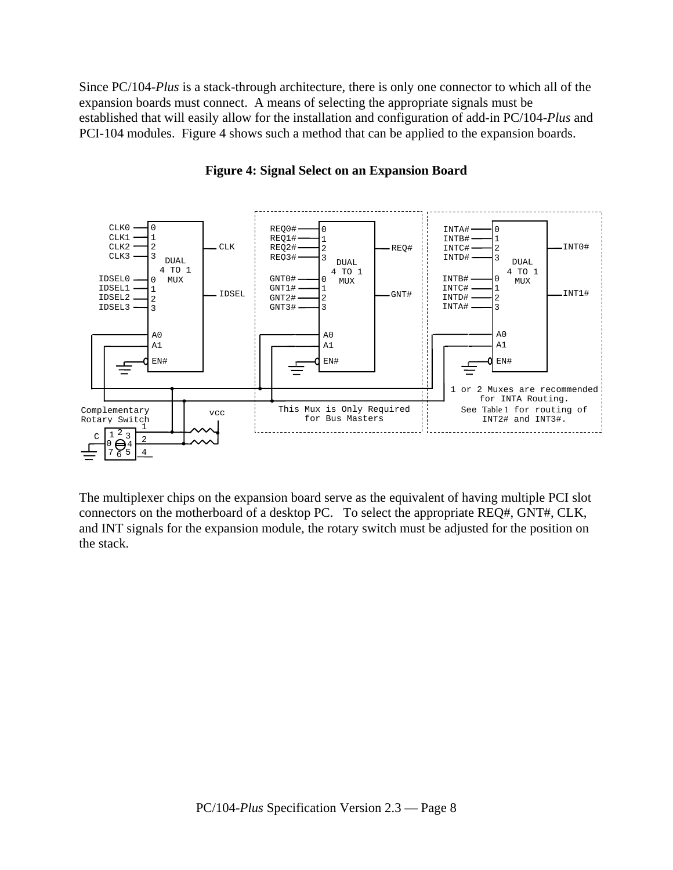Since PC/104-*Plus* is a stack-through architecture, there is only one connector to which all of the expansion boards must connect. A means of selecting the appropriate signals must be established that will easily allow for the installation and configuration of add-in PC/104-*Plus* and PCI-104 modules. Figure 4 shows such a method that can be applied to the expansion boards.



#### **Figure 4: Signal Select on an Expansion Board**

The multiplexer chips on the expansion board serve as the equivalent of having multiple PCI slot connectors on the motherboard of a desktop PC. To select the appropriate REQ#, GNT#, CLK, and INT signals for the expansion module, the rotary switch must be adjusted for the position on the stack.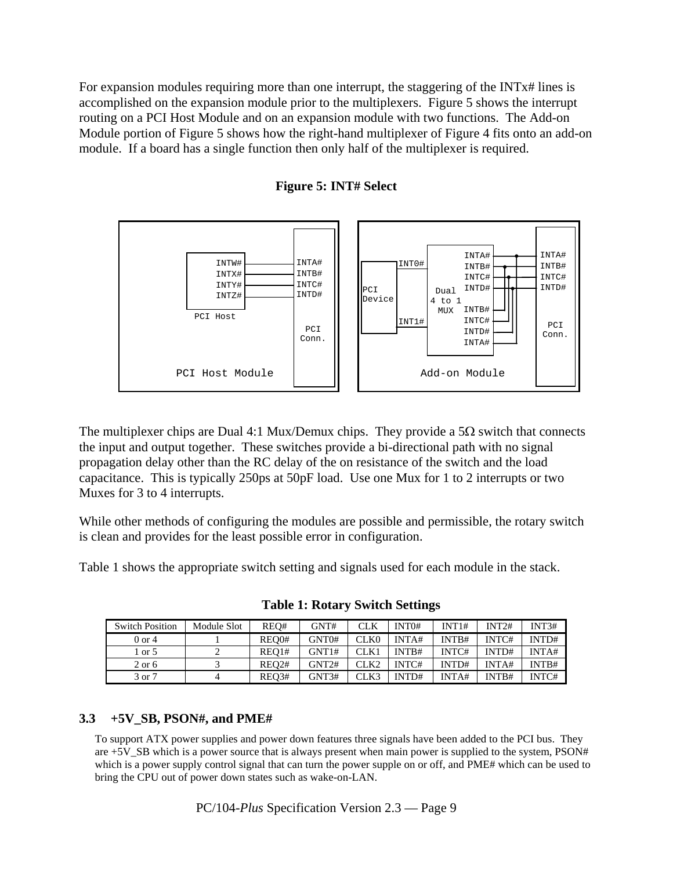For expansion modules requiring more than one interrupt, the staggering of the INTx# lines is accomplished on the expansion module prior to the multiplexers. Figure 5 shows the interrupt routing on a PCI Host Module and on an expansion module with two functions. The Add-on Module portion of Figure 5 shows how the right-hand multiplexer of Figure 4 fits onto an add-on module. If a board has a single function then only half of the multiplexer is required.



**Figure 5: INT# Select** 

The multiplexer chips are Dual 4:1 Mux/Demux chips. They provide a  $5\Omega$  switch that connects the input and output together. These switches provide a bi-directional path with no signal propagation delay other than the RC delay of the on resistance of the switch and the load capacitance. This is typically 250ps at 50pF load. Use one Mux for 1 to 2 interrupts or two Muxes for 3 to 4 interrupts.

While other methods of configuring the modules are possible and permissible, the rotary switch is clean and provides for the least possible error in configuration.

Table 1 shows the appropriate switch setting and signals used for each module in the stack.

| <b>Switch Position</b> | Module Slot | REO#               | GNT#  | <b>CLK</b>       | INT <sub>0#</sub> | INT1# | INT2#        | INT3# |
|------------------------|-------------|--------------------|-------|------------------|-------------------|-------|--------------|-------|
| $0$ or $4$             |             | REO0#              | GNT0# | CLK <sub>0</sub> | INTA#             | INTB# | <b>INTC#</b> | INTD# |
| 1 or 5                 |             | REO1#              | GNT1# | CLK1             | INTB#             | INTC# | INTD#        | INTA# |
| $2$ or 6               |             | REO2#              | GNT2# | CLK2             | INTC#             | INTD# | <b>INTA#</b> | INTB# |
| 3 or 7                 |             | REO <sub>3</sub> # | GNT3# | CLK3             | INTD#             | INTA# | INTB#        | INTC# |

**Table 1: Rotary Switch Settings** 

#### **3.3 +5V\_SB, PSON#, and PME#**

To support ATX power supplies and power down features three signals have been added to the PCI bus. They are +5V\_SB which is a power source that is always present when main power is supplied to the system, PSON# which is a power supply control signal that can turn the power supple on or off, and PME# which can be used to bring the CPU out of power down states such as wake-on-LAN.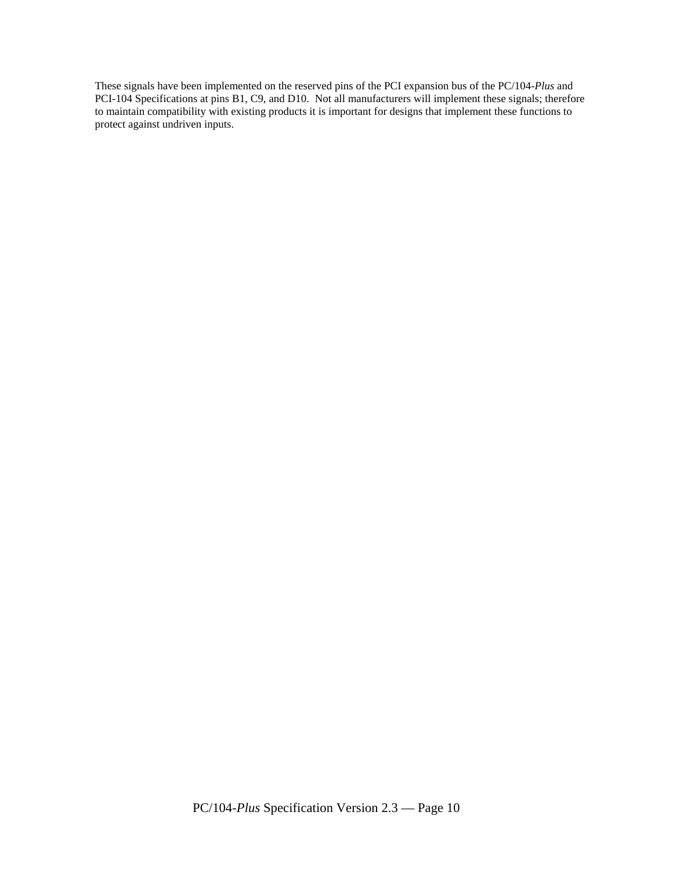These signals have been implemented on the reserved pins of the PCI expansion bus of the PC/104*-Plus* and PCI-104 Specifications at pins B1, C9, and D10. Not all manufacturers will implement these signals; therefore to maintain compatibility with existing products it is important for designs that implement these functions to protect against undriven inputs.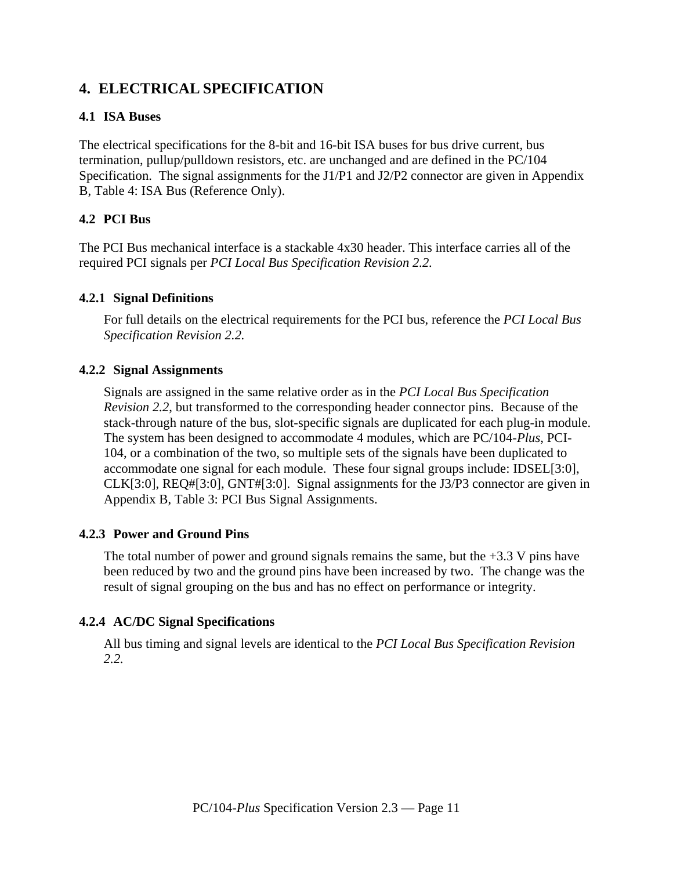## **4. ELECTRICAL SPECIFICATION**

#### **4.1 ISA Buses**

The electrical specifications for the 8-bit and 16-bit ISA buses for bus drive current, bus termination, pullup/pulldown resistors, etc. are unchanged and are defined in the PC/104 Specification. The signal assignments for the J1/P1 and J2/P2 connector are given in Appendix B, Table 4: ISA Bus (Reference Only).

#### **4.2 PCI Bus**

The PCI Bus mechanical interface is a stackable 4x30 header. This interface carries all of the required PCI signals per *PCI Local Bus Specification Revision 2.2.*

#### **4.2.1 Signal Definitions**

For full details on the electrical requirements for the PCI bus, reference the *PCI Local Bus Specification Revision 2.2.*

#### **4.2.2 Signal Assignments**

Signals are assigned in the same relative order as in the *PCI Local Bus Specification Revision 2.2*, but transformed to the corresponding header connector pins. Because of the stack-through nature of the bus, slot-specific signals are duplicated for each plug-in module. The system has been designed to accommodate 4 modules, which are PC/104-*Plus*, PCI-104, or a combination of the two, so multiple sets of the signals have been duplicated to accommodate one signal for each module. These four signal groups include: IDSEL[3:0], CLK[3:0], REQ#[3:0], GNT#[3:0]. Signal assignments for the J3/P3 connector are given in Appendix B, Table 3: PCI Bus Signal Assignments.

#### **4.2.3 Power and Ground Pins**

The total number of power and ground signals remains the same, but the  $+3.3$  V pins have been reduced by two and the ground pins have been increased by two. The change was the result of signal grouping on the bus and has no effect on performance or integrity.

#### **4.2.4 AC/DC Signal Specifications**

All bus timing and signal levels are identical to the *PCI Local Bus Specification Revision 2.2.*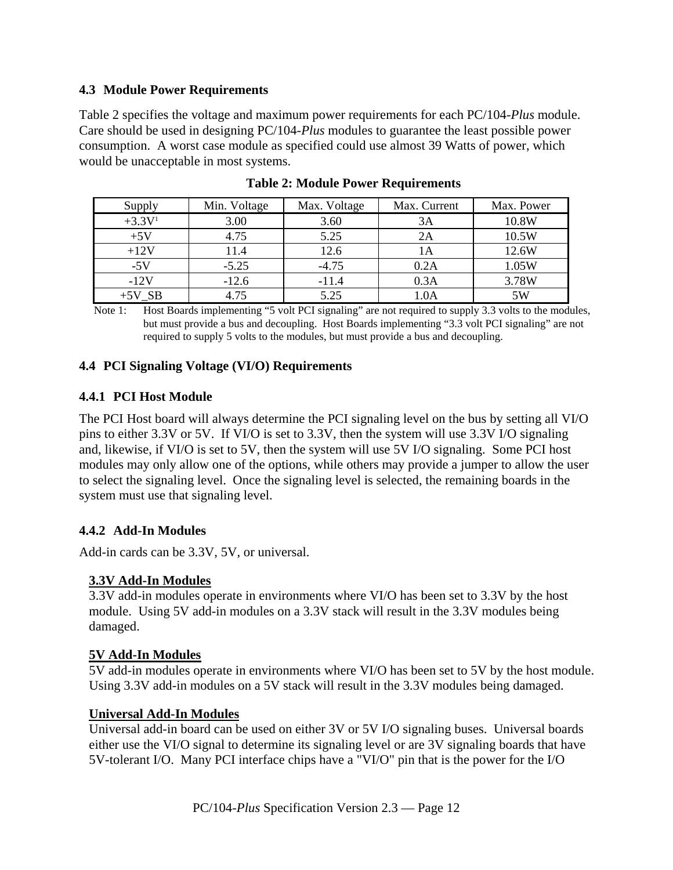#### **4.3 Module Power Requirements**

Table 2 specifies the voltage and maximum power requirements for each PC/104-*Plus* module. Care should be used in designing PC/104-*Plus* modules to guarantee the least possible power consumption. A worst case module as specified could use almost 39 Watts of power, which would be unacceptable in most systems.

| Supply   | Min. Voltage | Max. Voltage | Max. Current | Max. Power |
|----------|--------------|--------------|--------------|------------|
| $+3.3V1$ | 3.00         | 3.60         | 3A           | 10.8W      |
| $+5V$    | 4.75         | 5.25         | 2A           | 10.5W      |
| $+12V$   | 11.4         | 12.6         | lА           | 12.6W      |
| $-5V$    | $-5.25$      | $-4.75$      | 0.2A         | 1.05W      |
| $-12V$   | $-12.6$      | $-11.4$      | 0.3A         | 3.78W      |
| $+5V$ SB | 4.75         | 5.25         | 1.0A         | 5W         |

Note 1: Host Boards implementing "5 volt PCI signaling" are not required to supply 3.3 volts to the modules, but must provide a bus and decoupling. Host Boards implementing "3.3 volt PCI signaling" are not required to supply 5 volts to the modules, but must provide a bus and decoupling.

#### **4.4 PCI Signaling Voltage (VI/O) Requirements**

#### **4.4.1 PCI Host Module**

The PCI Host board will always determine the PCI signaling level on the bus by setting all VI/O pins to either 3.3V or 5V. If VI/O is set to 3.3V, then the system will use 3.3V I/O signaling and, likewise, if VI/O is set to 5V, then the system will use 5V I/O signaling. Some PCI host modules may only allow one of the options, while others may provide a jumper to allow the user to select the signaling level. Once the signaling level is selected, the remaining boards in the system must use that signaling level.

#### **4.4.2 Add-In Modules**

Add-in cards can be 3.3V, 5V, or universal.

#### **3.3V Add-In Modules**

3.3V add-in modules operate in environments where VI/O has been set to 3.3V by the host module. Using 5V add-in modules on a 3.3V stack will result in the 3.3V modules being damaged.

#### **5V Add-In Modules**

5V add-in modules operate in environments where VI/O has been set to 5V by the host module. Using 3.3V add-in modules on a 5V stack will result in the 3.3V modules being damaged.

#### **Universal Add-In Modules**

Universal add-in board can be used on either 3V or 5V I/O signaling buses. Universal boards either use the VI/O signal to determine its signaling level or are 3V signaling boards that have 5V-tolerant I/O. Many PCI interface chips have a "VI/O" pin that is the power for the I/O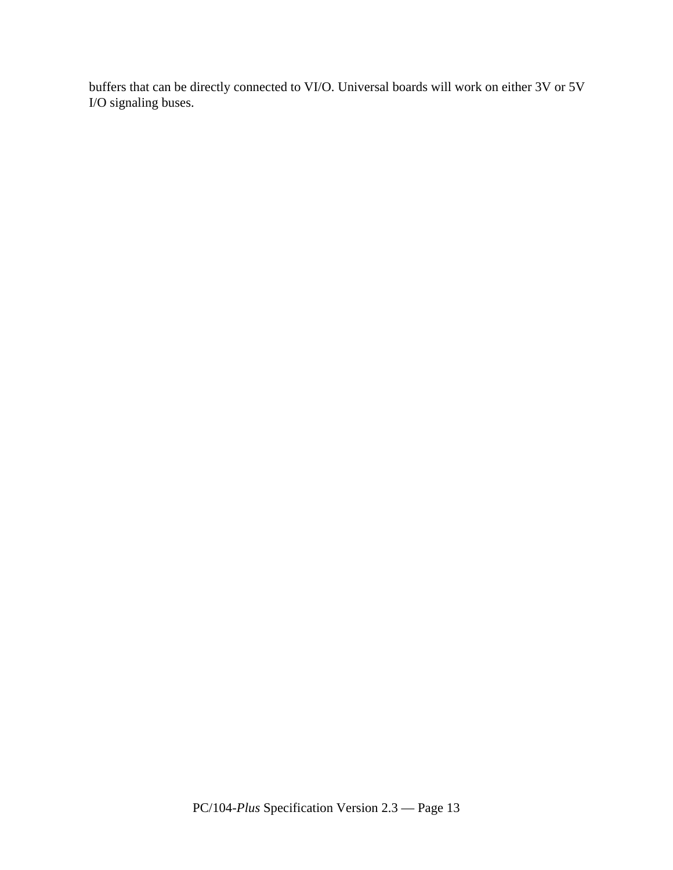buffers that can be directly connected to VI/O. Universal boards will work on either 3V or 5V I/O signaling buses.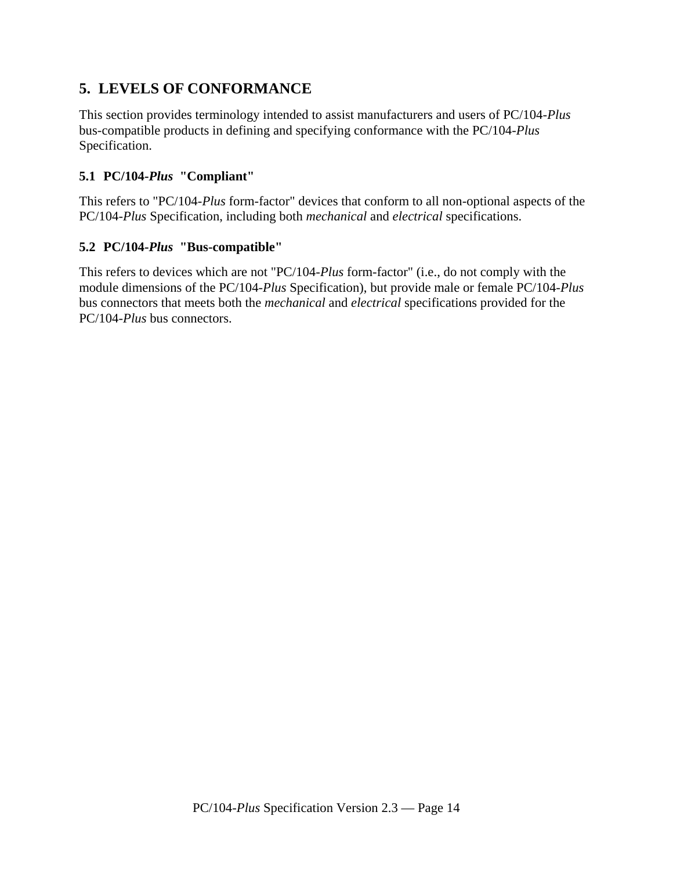## **5. LEVELS OF CONFORMANCE**

This section provides terminology intended to assist manufacturers and users of PC/104-*Plus* bus-compatible products in defining and specifying conformance with the PC/104-*Plus* Specification.

#### **5.1 PC/104-***Plus* **"Compliant"**

This refers to "PC/104-*Plus* form-factor" devices that conform to all non-optional aspects of the PC/104-*Plus* Specification, including both *mechanical* and *electrical* specifications.

#### **5.2 PC/104-***Plus* **"Bus-compatible"**

This refers to devices which are not "PC/104-*Plus* form-factor" (i.e., do not comply with the module dimensions of the PC/104-*Plus* Specification), but provide male or female PC/104-*Plus* bus connectors that meets both the *mechanical* and *electrical* specifications provided for the PC/104-*Plus* bus connectors.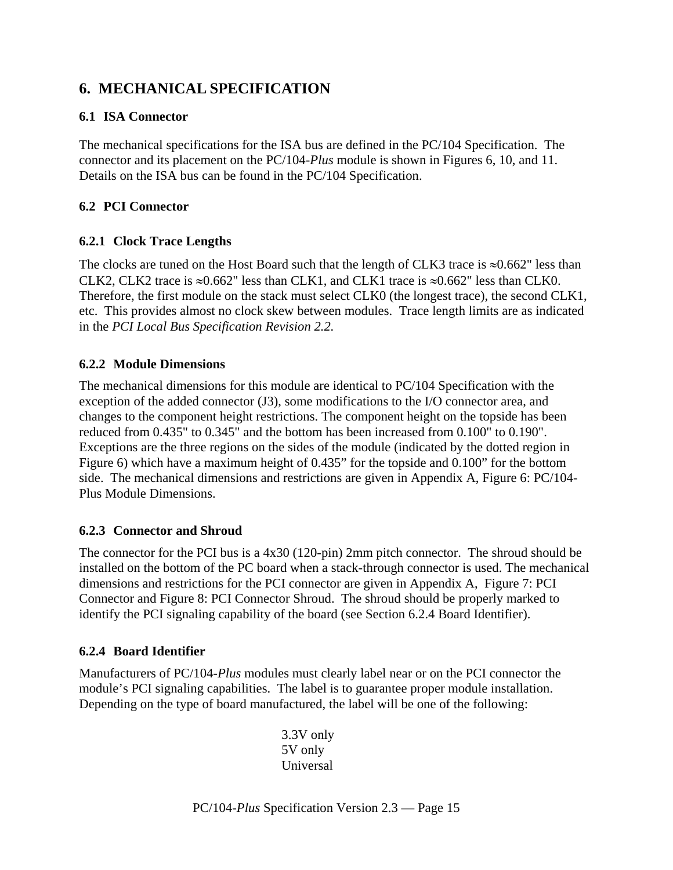## **6. MECHANICAL SPECIFICATION**

#### **6.1 ISA Connector**

The mechanical specifications for the ISA bus are defined in the PC/104 Specification. The connector and its placement on the PC/104-*Plus* module is shown in Figures 6, 10, and 11. Details on the ISA bus can be found in the PC/104 Specification.

#### **6.2 PCI Connector**

#### **6.2.1 Clock Trace Lengths**

The clocks are tuned on the Host Board such that the length of CLK3 trace is  $\approx 0.662$ " less than CLK2, CLK2 trace is  $\approx 0.662$ " less than CLK1, and CLK1 trace is  $\approx 0.662$ " less than CLK0. Therefore, the first module on the stack must select CLK0 (the longest trace), the second CLK1, etc. This provides almost no clock skew between modules. Trace length limits are as indicated in the *PCI Local Bus Specification Revision 2.2.*

#### **6.2.2 Module Dimensions**

The mechanical dimensions for this module are identical to PC/104 Specification with the exception of the added connector (J3), some modifications to the I/O connector area, and changes to the component height restrictions. The component height on the topside has been reduced from 0.435" to 0.345" and the bottom has been increased from 0.100" to 0.190". Exceptions are the three regions on the sides of the module (indicated by the dotted region in Figure 6) which have a maximum height of 0.435" for the topside and 0.100" for the bottom side. The mechanical dimensions and restrictions are given in Appendix A, Figure 6: PC/104- Plus Module Dimensions.

#### **6.2.3 Connector and Shroud**

The connector for the PCI bus is a 4x30 (120-pin) 2mm pitch connector. The shroud should be installed on the bottom of the PC board when a stack-through connector is used. The mechanical dimensions and restrictions for the PCI connector are given in Appendix A, Figure 7: PCI Connector and Figure 8: PCI Connector Shroud. The shroud should be properly marked to identify the PCI signaling capability of the board (see Section 6.2.4 Board Identifier).

#### **6.2.4 Board Identifier**

Manufacturers of PC/104-*Plus* modules must clearly label near or on the PCI connector the module's PCI signaling capabilities. The label is to guarantee proper module installation. Depending on the type of board manufactured, the label will be one of the following:

> 3.3V only 5V only **Universal**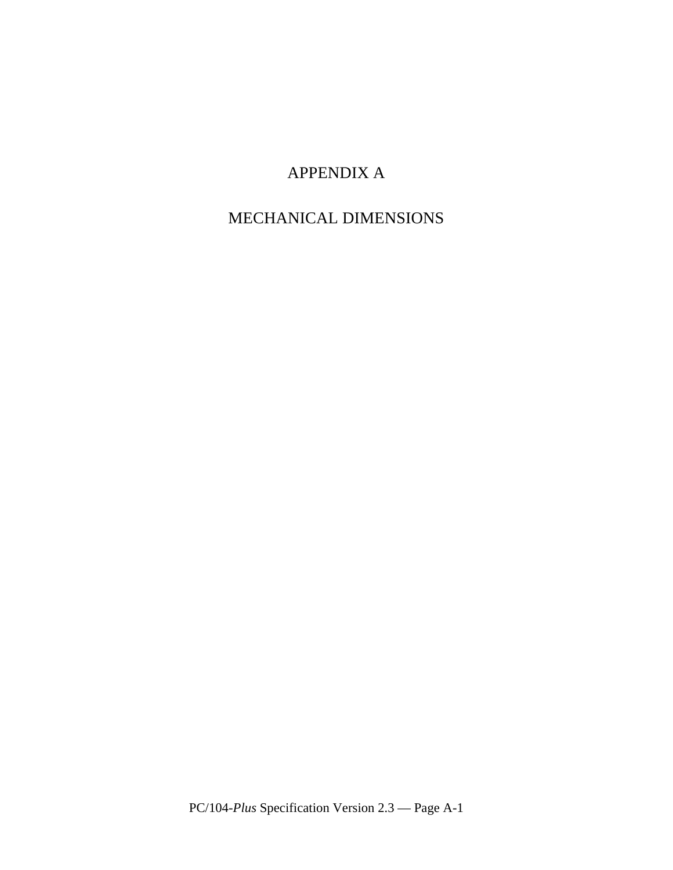## APPENDIX A

## MECHANICAL DIMENSIONS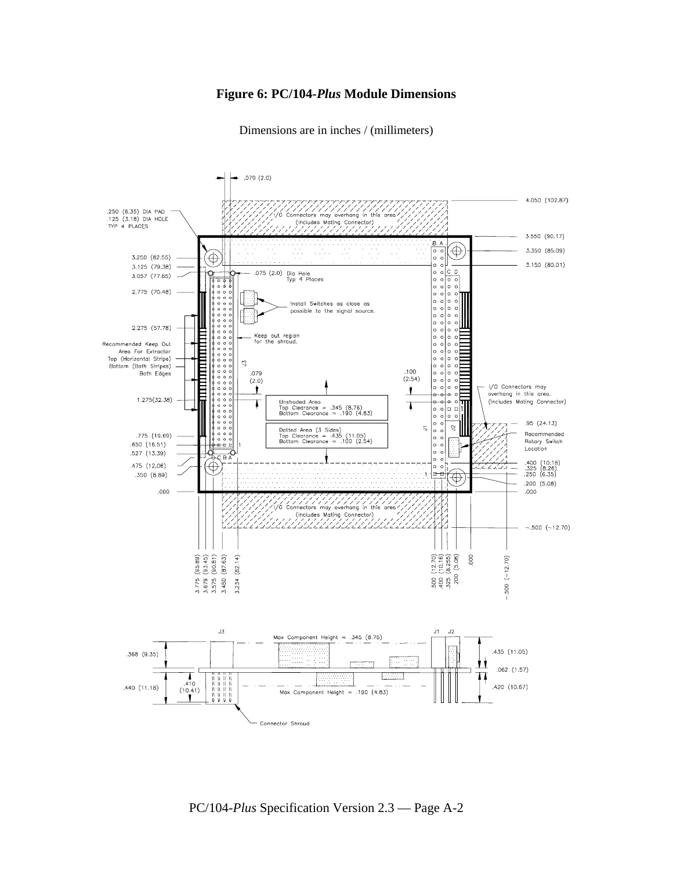#### **Figure 6: PC/104-***Plus* **Module Dimensions**

Dimensions are in inches / (millimeters)



PC/104-*Plus* Specification Version 2.3 — Page A-2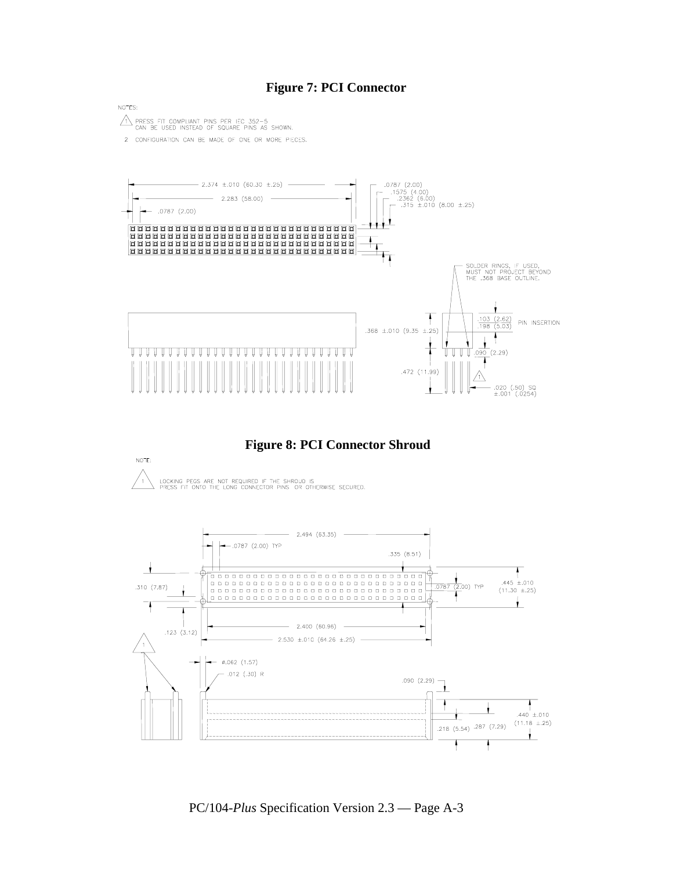#### **Figure 7: PCI Connector**

NOTES:  $\sqrt{1}$  PRESS FIT COMPLIANT PINS PER IEC 352-5<br>CAN BE USED INSTEAD OF SQUARE PINS AS SHOWN.

2 CONFIGURATION CAN BE MADE OF ONE OR MORE PIECES.



 **Figure 8: PCI Connector Shroud** 





PC/104-*Plus* Specification Version 2.3 — Page A-3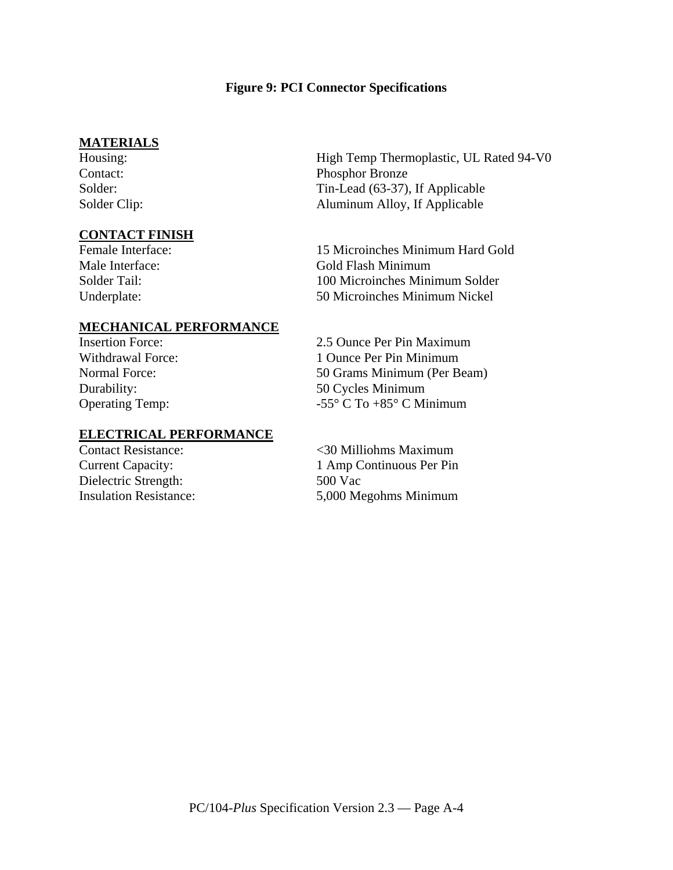#### **Figure 9: PCI Connector Specifications**

#### **MATERIALS**

#### **CONTACT FINISH**

High Temp Thermoplastic, UL Rated 94-V0 Contact: Phosphor Bronze Solder: Tin-Lead (63-37), If Applicable Solder Clip: Aluminum Alloy, If Applicable

Female Interface: 15 Microinches Minimum Hard Gold Male Interface: Gold Flash Minimum Solder Tail: 100 Microinches Minimum Solder Underplate: 50 Microinches Minimum Nickel

#### **MECHANICAL PERFORMANCE**

#### **ELECTRICAL PERFORMANCE**

Dielectric Strength: 500 Vac

Insertion Force: 2.5 Ounce Per Pin Maximum Withdrawal Force: 1 Ounce Per Pin Minimum Normal Force: 50 Grams Minimum (Per Beam) Durability: 50 Cycles Minimum Operating Temp:  $-55^{\circ}$  C To +85° C Minimum

Contact Resistance: <30 Milliohms Maximum Current Capacity: 1 Amp Continuous Per Pin Insulation Resistance: 5,000 Megohms Minimum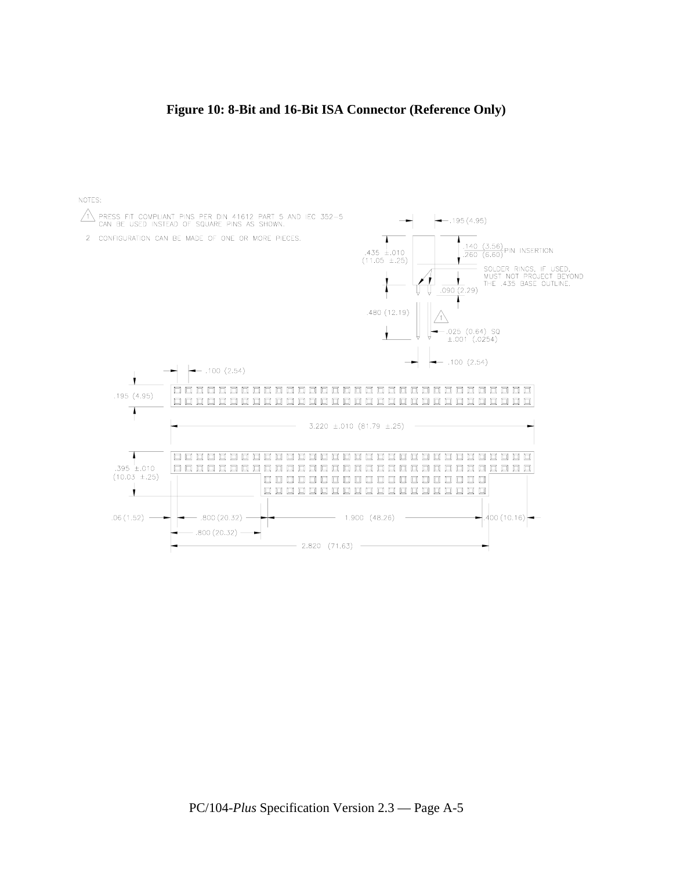#### **Figure 10: 8-Bit and 16-Bit ISA Connector (Reference Only)**

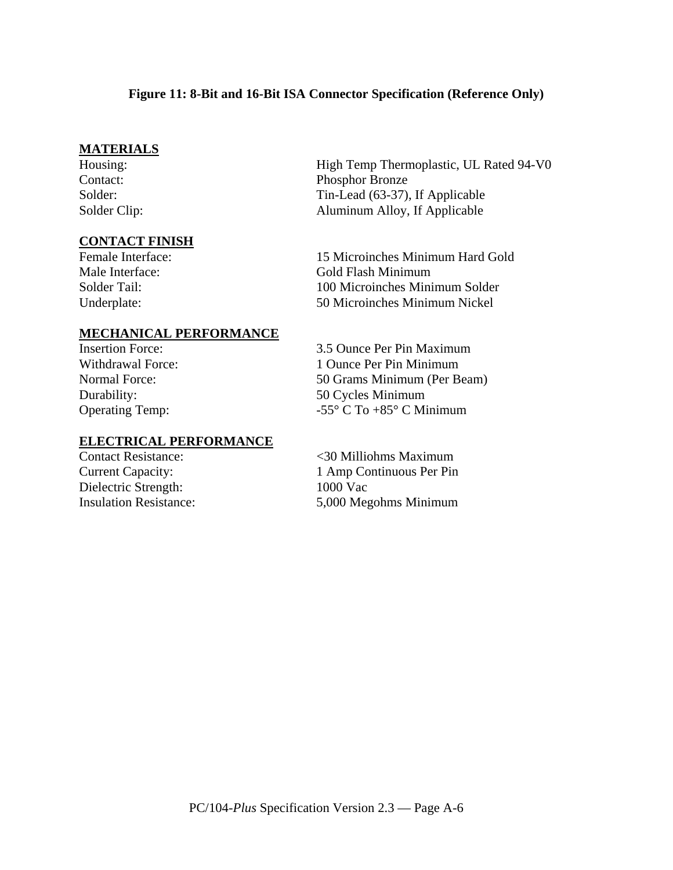#### **Figure 11: 8-Bit and 16-Bit ISA Connector Specification (Reference Only)**

#### **MATERIALS**

#### **CONTACT FINISH**

High Temp Thermoplastic, UL Rated 94-V0 Contact: Phosphor Bronze Solder: Tin-Lead (63-37), If Applicable Solder Clip: Aluminum Alloy, If Applicable

Female Interface: 15 Microinches Minimum Hard Gold Male Interface: Gold Flash Minimum Solder Tail: 100 Microinches Minimum Solder Underplate: 50 Microinches Minimum Nickel

#### **MECHANICAL PERFORMANCE**

#### **ELECTRICAL PERFORMANCE**

Dielectric Strength: 1000 Vac

Insertion Force: 3.5 Ounce Per Pin Maximum Withdrawal Force: 1 Ounce Per Pin Minimum Normal Force: 50 Grams Minimum (Per Beam) Durability: 50 Cycles Minimum Operating Temp:  $-55^{\circ}$  C To +85° C Minimum

Contact Resistance: <30 Milliohms Maximum Current Capacity: 1 Amp Continuous Per Pin Insulation Resistance: 5,000 Megohms Minimum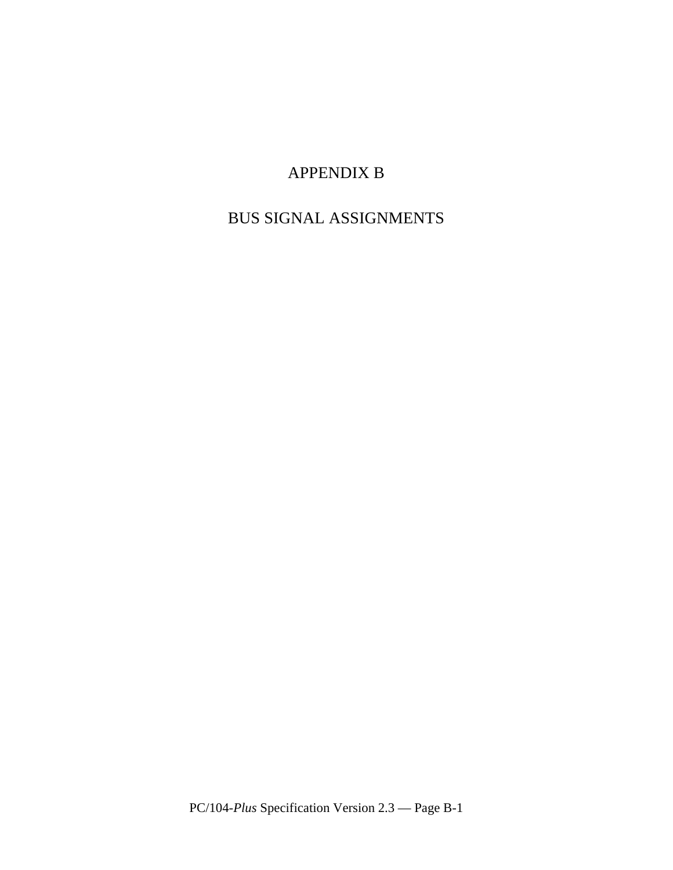## APPENDIX B

## BUS SIGNAL ASSIGNMENTS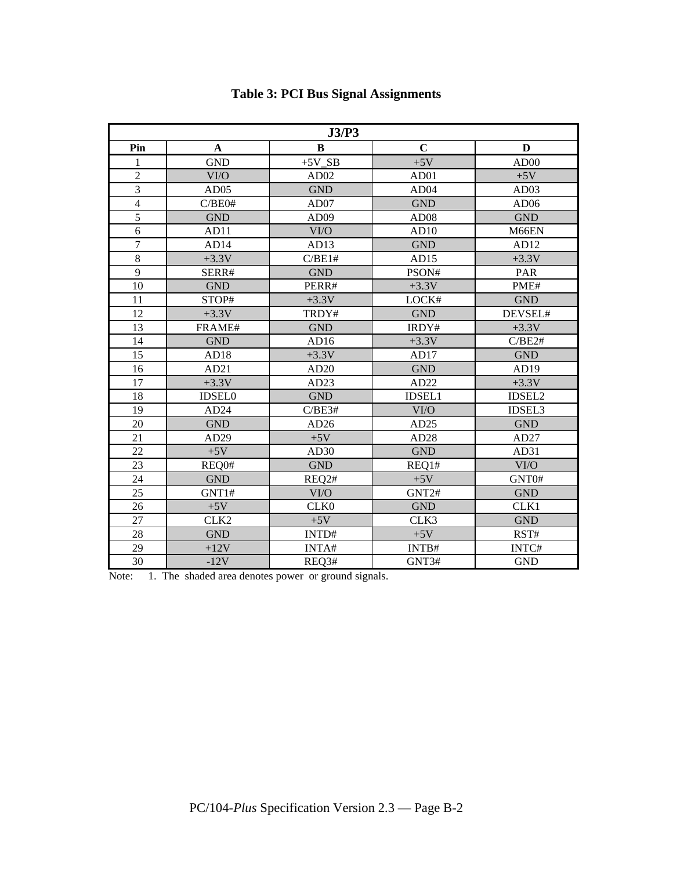| J3/P3            |                  |                      |                  |                  |  |
|------------------|------------------|----------------------|------------------|------------------|--|
| Pin              | A                | B                    | $\mathbf C$      | D                |  |
| 1                | <b>GND</b>       | $+5V$ <sub>_SB</sub> | $+5V$            | AD00             |  |
| $\overline{2}$   | VI/O             | AD <sub>02</sub>     | AD01             | $+5V$            |  |
| 3                | AD05             | <b>GND</b>           | AD04             | AD03             |  |
| $\overline{4}$   | C/BE0#           | AD07                 | <b>GND</b>       | AD <sub>06</sub> |  |
| 5                | <b>GND</b>       | AD <sub>09</sub>     | AD <sub>08</sub> | <b>GND</b>       |  |
| 6                | AD11             | VI/O                 | AD10             | M66EN            |  |
| $\boldsymbol{7}$ | AD14             | AD13                 | <b>GND</b>       | AD12             |  |
| $\overline{8}$   | $+3.3V$          | C/BE1#               | AD15             | $+3.3V$          |  |
| 9                | SERR#            | <b>GND</b>           | PSON#            | PAR              |  |
| 10               | <b>GND</b>       | PERR#                | $+3.3V$          | PME#             |  |
| 11               | STOP#            | $+3.3V$              | LOCK#            | <b>GND</b>       |  |
| 12               | $+3.3V$          | TRDY#                | <b>GND</b>       | DEVSEL#          |  |
| 13               | FRAME#           | <b>GND</b>           | IRDY#            | $+3.3V$          |  |
| 14               | <b>GND</b>       | AD16                 | $+3.3V$          | C/BE2#           |  |
| 15               | AD18             | $+3.3V$              | AD17             | <b>GND</b>       |  |
| 16               | AD21             | AD20                 | <b>GND</b>       | AD19             |  |
| 17               | $+3.3V$          | AD23                 | AD22             | $+3.3V$          |  |
| 18               | <b>IDSEL0</b>    | <b>GND</b>           | <b>IDSEL1</b>    | IDSEL2           |  |
| 19               | AD24             | C/BE3#               | VI/O             | <b>IDSEL3</b>    |  |
| 20               | <b>GND</b>       | AD26                 | AD25             | <b>GND</b>       |  |
| 21               | AD29             | $+5V$                | AD28             | AD27             |  |
| 22               | $+5V$            | AD <sub>30</sub>     | <b>GND</b>       | AD31             |  |
| 23               | REQ0#            | <b>GND</b>           | REQ1#            | VI/O             |  |
| 24               | <b>GND</b>       | REQ2#                | $+5V$            | GNT0#            |  |
| 25               | GNT1#            | VI/O                 | GNT2#            | <b>GND</b>       |  |
| 26               | $+5V$            | CLK <sub>0</sub>     | <b>GND</b>       | CLK1             |  |
| 27               | CLK <sub>2</sub> | $+5V$                | CLK3             | <b>GND</b>       |  |
| 28               | <b>GND</b>       | INTD#                | $+5V$            | RST#             |  |
| 29               | $+12V$           | INTA#                | INTB#            | INTC#            |  |
| 30               | $-12V$           | REQ3#                | GNT3#            | <b>GND</b>       |  |

## **Table 3: PCI Bus Signal Assignments**

Note: 1. The shaded area denotes power or ground signals.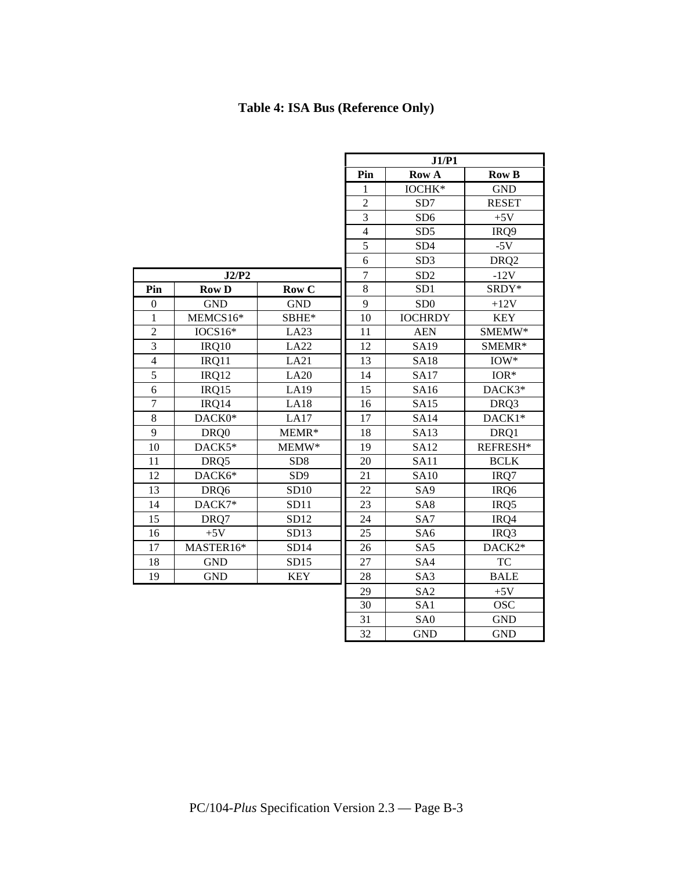## **Table 4: ISA Bus (Reference Only)**

|                  |              |                 | J1/P1          |                 |                  |  |
|------------------|--------------|-----------------|----------------|-----------------|------------------|--|
|                  |              | Pin             | <b>Row A</b>   | <b>Row B</b>    |                  |  |
|                  |              |                 | 1              | IOCHK*          | <b>GND</b>       |  |
|                  |              |                 | $\overline{2}$ | SD7             | <b>RESET</b>     |  |
|                  |              |                 | 3              | SD <sub>6</sub> | $+5V$            |  |
|                  |              |                 | $\overline{4}$ | SD <sub>5</sub> | IRQ9             |  |
|                  |              |                 | $\overline{5}$ | SD <sub>4</sub> | $-5V$            |  |
|                  |              |                 | 6              | SD <sub>3</sub> | DRQ <sub>2</sub> |  |
|                  | J2/P2        |                 | $\overline{7}$ | SD <sub>2</sub> | $-12V$           |  |
| Pin              | <b>Row D</b> | Row C           | 8              | SD <sub>1</sub> | SRDY*            |  |
| $\boldsymbol{0}$ | <b>GND</b>   | <b>GND</b>      | 9              | SD <sub>0</sub> | $+12V$           |  |
| $\mathbf{1}$     | MEMCS16*     | SBHE*           | 10             | <b>IOCHRDY</b>  | <b>KEY</b>       |  |
| $\overline{2}$   | $IOCS16*$    | LA23            | 11             | <b>AEN</b>      | $\text{SMEMW*}$  |  |
| 3                | IRQ10        | LA22            | 12             | <b>SA19</b>     | SMEMR*           |  |
| $\overline{4}$   | IRQ11        | LA21            | 13             | <b>SA18</b>     | $IOW*$           |  |
| $\overline{5}$   | IRQ12        | LA20            | 14             | <b>SA17</b>     | $IOR*$           |  |
| 6                | IRQ15        | LA19            | 15             | SA16            | DACK3*           |  |
| $\overline{7}$   | IRQ14        | <b>LA18</b>     | 16             | <b>SA15</b>     | DRQ3             |  |
| 8                | DACK0*       | LA17            | 17             | <b>SA14</b>     | DACK1*           |  |
| 9                | DRQ0         | MEMR*           | 18             | <b>SA13</b>     | DRQ1             |  |
| 10               | DACK5*       | MEMW*           | 19             | <b>SA12</b>     | REFRESH*         |  |
| 11               | DRQ5         | SD <sub>8</sub> | 20             | <b>SA11</b>     | <b>BCLK</b>      |  |
| 12               | DACK6*       | SD <sub>9</sub> | 21             | <b>SA10</b>     | IRQ7             |  |
| 13               | DRQ6         | SD10            | 22             | SA <sub>9</sub> | IRQ6             |  |
| 14               | DACK7*       | SD11            | 23             | SA8             | IRQ5             |  |
| 15               | DRQ7         | SD12            | 24             | SA7             | IRQ4             |  |
| 16               | $+5V$        | SD13            | 25             | SA <sub>6</sub> | IRQ3             |  |
| 17               | MASTER16*    | SD14            | 26             | SA5             | DACK2*           |  |
| 18               | <b>GND</b>   | SD15            | 27             | SA4             | <b>TC</b>        |  |
| 19               | <b>GND</b>   | <b>KEY</b>      | 28             | SA <sub>3</sub> | <b>BALE</b>      |  |
|                  |              |                 | 29             | SA <sub>2</sub> | $+5V$            |  |
|                  |              |                 | 30             | SA1             | <b>OSC</b>       |  |
|                  |              |                 | 31             | SA <sub>0</sub> | <b>GND</b>       |  |
|                  |              |                 | 32             | <b>GND</b>      | <b>GND</b>       |  |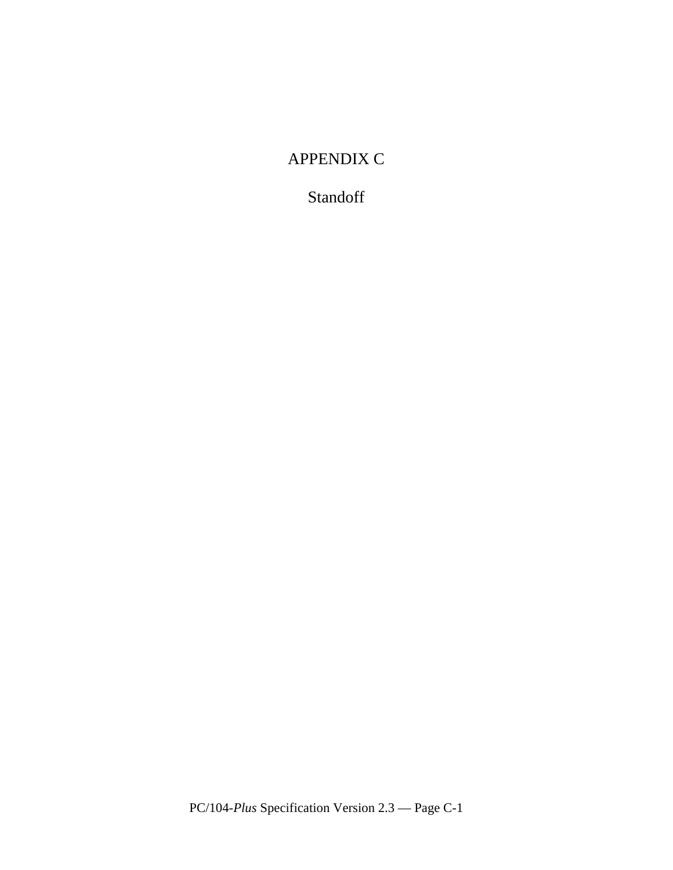## APPENDIX C

## Standoff